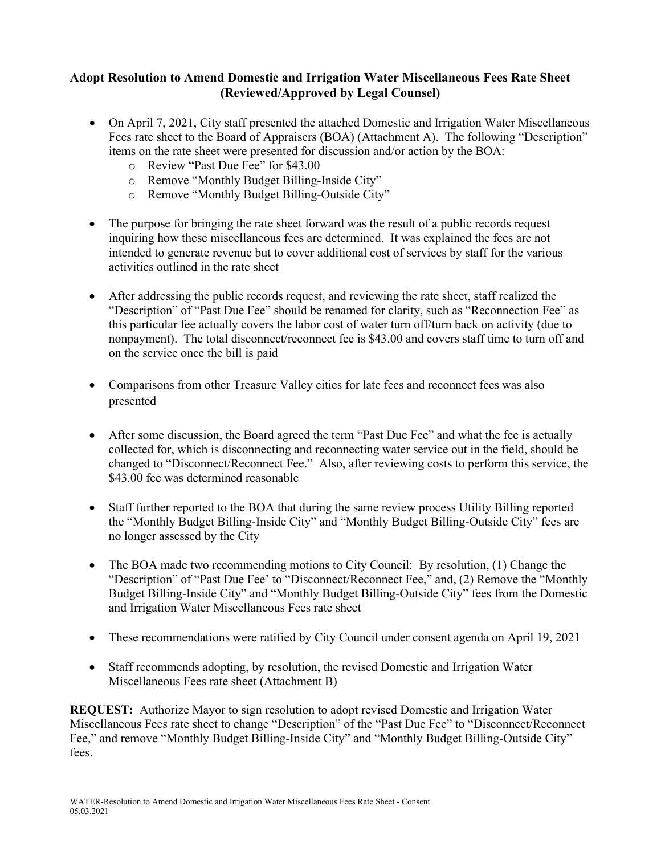# **Adopt Resolution to Amend Domestic and Irrigation Water Miscellaneous Fees Rate Sheet (Reviewed/Approved by Legal Counsel)**

- On April 7, 2021, City staff presented the attached Domestic and Irrigation Water Miscellaneous Fees rate sheet to the Board of Appraisers (BOA) (Attachment A). The following "Description" items on the rate sheet were presented for discussion and/or action by the BOA:
	- o Review "Past Due Fee" for \$43.00
	- o Remove "Monthly Budget Billing-Inside City"
	- o Remove "Monthly Budget Billing-Outside City"
- The purpose for bringing the rate sheet forward was the result of a public records request inquiring how these miscellaneous fees are determined. It was explained the fees are not intended to generate revenue but to cover additional cost of services by staff for the various activities outlined in the rate sheet
- After addressing the public records request, and reviewing the rate sheet, staff realized the "Description" of "Past Due Fee" should be renamed for clarity, such as "Reconnection Fee" as this particular fee actually covers the labor cost of water turn off/turn back on activity (due to nonpayment). The total disconnect/reconnect fee is \$43.00 and covers staff time to turn off and on the service once the bill is paid
- Comparisons from other Treasure Valley cities for late fees and reconnect fees was also presented
- After some discussion, the Board agreed the term "Past Due Fee" and what the fee is actually collected for, which is disconnecting and reconnecting water service out in the field, should be changed to "Disconnect/Reconnect Fee." Also, after reviewing costs to perform this service, the \$43.00 fee was determined reasonable
- Staff further reported to the BOA that during the same review process Utility Billing reported the "Monthly Budget Billing-Inside City" and "Monthly Budget Billing-Outside City" fees are no longer assessed by the City
- The BOA made two recommending motions to City Council: By resolution, (1) Change the "Description" of "Past Due Fee' to "Disconnect/Reconnect Fee," and, (2) Remove the "Monthly Budget Billing-Inside City" and "Monthly Budget Billing-Outside City" fees from the Domestic and Irrigation Water Miscellaneous Fees rate sheet
- These recommendations were ratified by City Council under consent agenda on April 19, 2021
- Staff recommends adopting, by resolution, the revised Domestic and Irrigation Water Miscellaneous Fees rate sheet (Attachment B)

**REQUEST:** Authorize Mayor to sign resolution to adopt revised Domestic and Irrigation Water Miscellaneous Fees rate sheet to change "Description" of the "Past Due Fee" to "Disconnect/Reconnect Fee," and remove "Monthly Budget Billing-Inside City" and "Monthly Budget Billing-Outside City" fees.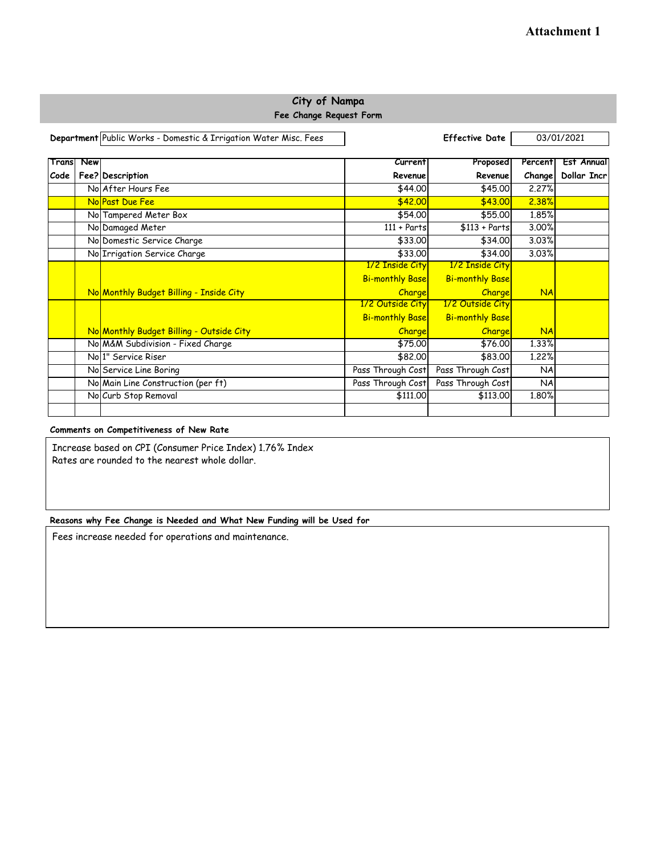## **City of Nampa Fee Change Request Form**

|       |     | Department Public Works - Domestic & Irrigation Water Misc. Fees | <b>Effective Date</b>  |                        | 03/01/2021 |             |
|-------|-----|------------------------------------------------------------------|------------------------|------------------------|------------|-------------|
| Trans | New |                                                                  | Current                | Proposed               | Percent    | Est Annual  |
| Code  |     | Fee? Description                                                 | Revenue                | Revenue                | Change     | Dollar Incr |
|       |     | No After Hours Fee                                               | \$44.00                | \$45,00                | 2.27%      |             |
|       |     | No Past Due Fee                                                  | \$42.00                | \$43.00                | 2.38%      |             |
|       |     | No Tampered Meter Box                                            | \$54.00                | \$55,00                | 1.85%      |             |
|       |     | No Damaged Meter                                                 | $111 + Parts$          | $$113 + Parts$         | 3.00%      |             |
|       |     | No Domestic Service Charge                                       | \$33.00                | \$34,00                | 3.03%      |             |
|       |     | No Irrigation Service Charge                                     | \$33.00                | \$34,00                | 3.03%      |             |
|       |     |                                                                  | 1/2 Inside City        | 1/2 Inside City        |            |             |
|       |     |                                                                  | <b>Bi-monthly Base</b> | <b>Bi-monthly Base</b> |            |             |
|       |     | No Monthly Budget Billing - Inside City                          | <b>Charge</b>          | Charge                 | <b>NA</b>  |             |
|       |     |                                                                  | 1/2 Outside City       | 1/2 Outside City       |            |             |
|       |     |                                                                  | <b>Bi-monthly Base</b> | <b>Bi-monthly Base</b> |            |             |
|       |     | No Monthly Budget Billing - Outside City                         | <b>Charge</b>          | Charge                 | <b>NA</b>  |             |
|       |     | No M&M Subdivision - Fixed Charge                                | \$75.00                | \$76.00                | 1.33%      |             |
|       |     | No <sup>1</sup> Service Riser                                    | \$82,00                | \$83,00                | 1,22%      |             |
|       |     | No Service Line Boring                                           | Pass Through Cost      | Pass Through Cost      | NA         |             |
|       |     | No Main Line Construction (per ft)                               | Pass Through Cost      | Pass Through Cost      | NA         |             |
|       |     | No Curb Stop Removal                                             | \$111,00               | \$113,00               | 1.80%      |             |
|       |     |                                                                  |                        |                        |            |             |

### **Comments on Competitiveness of New Rate**

Increase based on CPI (Consumer Price Index) 1.76% Index Rates are rounded to the nearest whole dollar.

### **Reasons why Fee Change is Needed and What New Funding will be Used for**

Fees increase needed for operations and maintenance.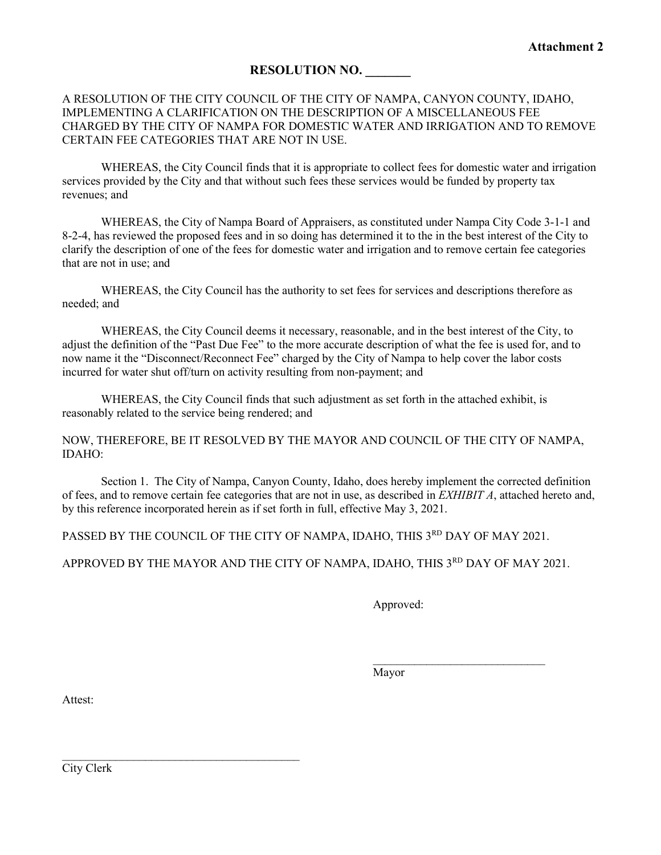## **RESOLUTION NO. \_\_\_\_\_\_\_**

## A RESOLUTION OF THE CITY COUNCIL OF THE CITY OF NAMPA, CANYON COUNTY, IDAHO, IMPLEMENTING A CLARIFICATION ON THE DESCRIPTION OF A MISCELLANEOUS FEE CHARGED BY THE CITY OF NAMPA FOR DOMESTIC WATER AND IRRIGATION AND TO REMOVE CERTAIN FEE CATEGORIES THAT ARE NOT IN USE.

WHEREAS, the City Council finds that it is appropriate to collect fees for domestic water and irrigation services provided by the City and that without such fees these services would be funded by property tax revenues; and

WHEREAS, the City of Nampa Board of Appraisers, as constituted under Nampa City Code 3-1-1 and 8-2-4, has reviewed the proposed fees and in so doing has determined it to the in the best interest of the City to clarify the description of one of the fees for domestic water and irrigation and to remove certain fee categories that are not in use; and

WHEREAS, the City Council has the authority to set fees for services and descriptions therefore as needed; and

WHEREAS, the City Council deems it necessary, reasonable, and in the best interest of the City, to adjust the definition of the "Past Due Fee" to the more accurate description of what the fee is used for, and to now name it the "Disconnect/Reconnect Fee" charged by the City of Nampa to help cover the labor costs incurred for water shut off/turn on activity resulting from non-payment; and

WHEREAS, the City Council finds that such adjustment as set forth in the attached exhibit, is reasonably related to the service being rendered; and

NOW, THEREFORE, BE IT RESOLVED BY THE MAYOR AND COUNCIL OF THE CITY OF NAMPA, IDAHO:

Section 1. The City of Nampa, Canyon County, Idaho, does hereby implement the corrected definition of fees, and to remove certain fee categories that are not in use, as described in *EXHIBIT A*, attached hereto and, by this reference incorporated herein as if set forth in full, effective May 3, 2021.

PASSED BY THE COUNCIL OF THE CITY OF NAMPA, IDAHO, THIS 3RD DAY OF MAY 2021.

APPROVED BY THE MAYOR AND THE CITY OF NAMPA, IDAHO, THIS 3RD DAY OF MAY 2021.

Approved:

\_\_\_\_\_\_\_\_\_\_\_\_\_\_\_\_\_\_\_\_\_\_\_\_\_\_\_\_\_ Mayor

Attest:

City Clerk

 $\frac{1}{2}$  ,  $\frac{1}{2}$  ,  $\frac{1}{2}$  ,  $\frac{1}{2}$  ,  $\frac{1}{2}$  ,  $\frac{1}{2}$  ,  $\frac{1}{2}$  ,  $\frac{1}{2}$  ,  $\frac{1}{2}$  ,  $\frac{1}{2}$  ,  $\frac{1}{2}$  ,  $\frac{1}{2}$  ,  $\frac{1}{2}$  ,  $\frac{1}{2}$  ,  $\frac{1}{2}$  ,  $\frac{1}{2}$  ,  $\frac{1}{2}$  ,  $\frac{1}{2}$  ,  $\frac{1$